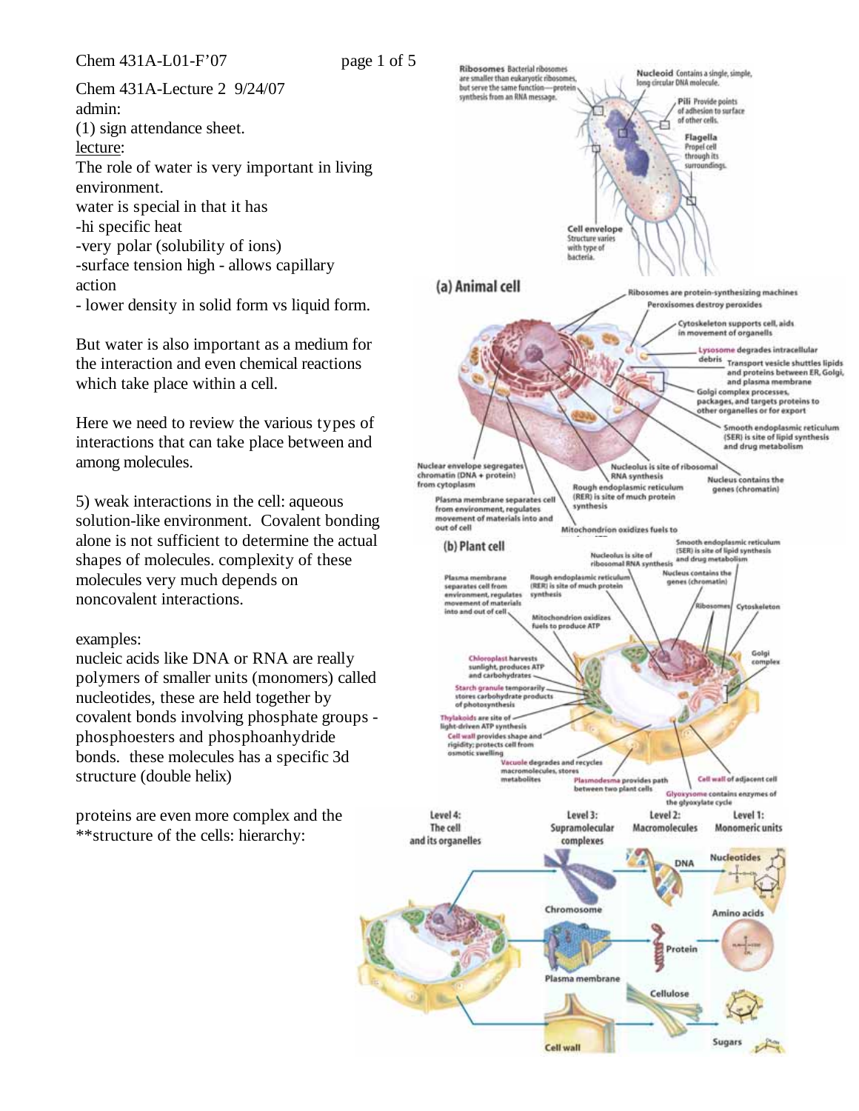Chem 431A-L01-F'07 page 1 of 5

Chem 431A-Lecture 2 9/24/07 admin: (1) sign attendance sheet. lecture: The role of water is very important in living environment. water is special in that it has -hi specific heat -very polar (solubility of ions) -surface tension high - allows capillary action - lower density in solid form vs liquid form.

But water is also important as a medium for the interaction and even chemical reactions which take place within a cell.

Here we need to review the various types of interactions that can take place between and among molecules.

5) weak interactions in the cell: aqueous solution-like environment. Covalent bonding alone is not sufficient to determine the actual shapes of molecules. complexity of these molecules very much depends on noncovalent interactions.

## examples:

nucleic acids like DNA or RNA are really polymers of smaller units (monomers) called nucleotides, these are held together by covalent bonds involving phosphate groups phosphoesters and phosphoanhydride bonds. these molecules has a specific 3d structure (double helix)

proteins are even more complex and the \*\*structure of the cells: hierarchy:

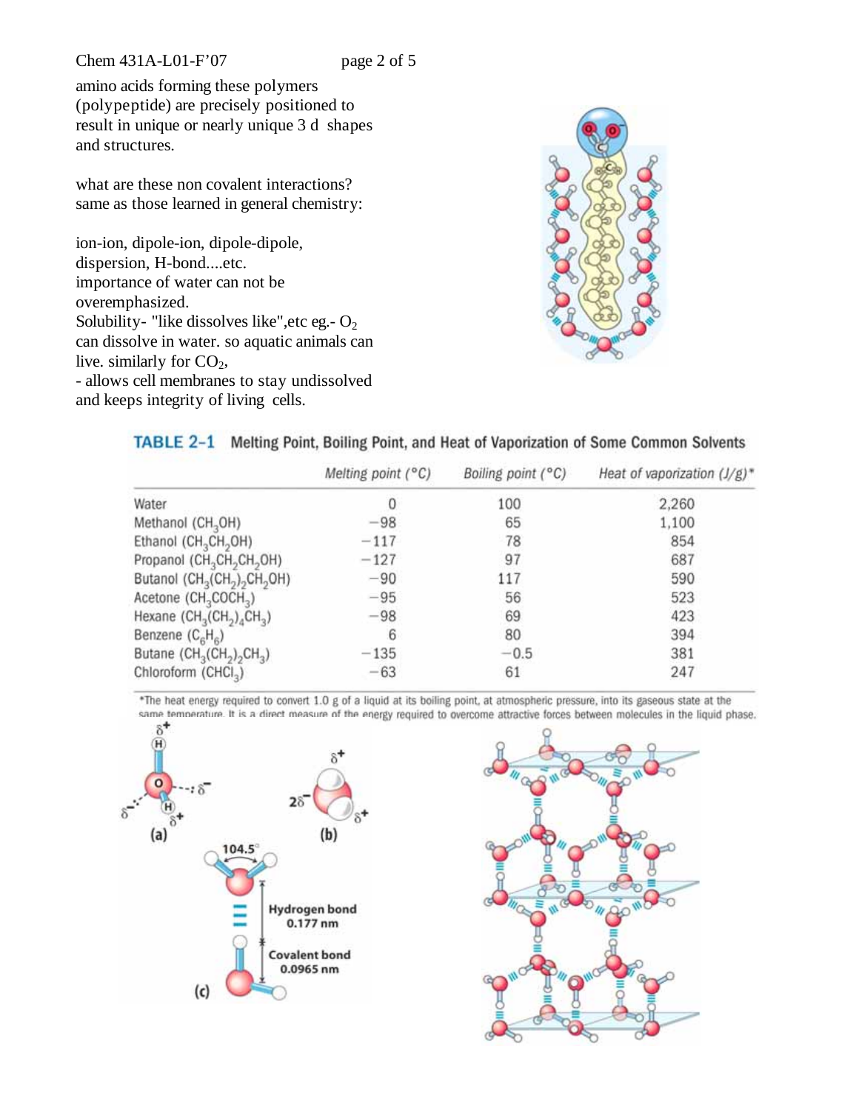Chem 431A-L01-F'07 page 2 of 5

amino acids forming these polymers (polypeptide) are precisely positioned to result in unique or nearly unique 3 d shapes and structures.

what are these non covalent interactions? same as those learned in general chemistry:

ion-ion, dipole-ion, dipole-dipole, dispersion, H-bond....etc. importance of water can not be overemphasized. Solubility- "like dissolves like", etc eg. -  $O_2$ can dissolve in water. so aquatic animals can live. similarly for  $CO<sub>2</sub>$ , - allows cell membranes to stay undissolved and keeps integrity of living cells.



## TABLE 2-1 Melting Point, Boiling Point, and Heat of Vaporization of Some Common Solvents

|                                                                              | Melting point (°C) | Boiling point (°C) | Heat of vaporization $(J/g)^*$ |
|------------------------------------------------------------------------------|--------------------|--------------------|--------------------------------|
| Water                                                                        | 0                  | 100                | 2,260                          |
| Methanol (CH <sub>3</sub> OH)                                                | $-98$              | 65                 | 1,100                          |
| Ethanol (CH <sub>3</sub> CH <sub>2</sub> OH)                                 | $-117$             | 78                 | 854                            |
| Propanol (CH <sub>3</sub> CH <sub>2</sub> CH <sub>2</sub> OH)                | $-127$             | 97                 | 687                            |
| Butanol (CH <sub>3</sub> (CH <sub>2</sub> ) <sub>2</sub> CH <sub>2</sub> OH) | $-90$              | 117                | 590                            |
| Acetone $(CH_3COCH_3)$                                                       | $-95$              | 56                 | 523                            |
| Hexane $(CH_3(CH_2)_4CH_3)$                                                  | $-98$              | 69                 | 423                            |
| Benzene $(C_{\beta}H_{\beta})$                                               | 6                  | 80                 | 394                            |
| Butane $(CH_2(CH_2)_2CH_2)$                                                  | $-135$             | $-0.5$             | 381                            |
| Chloroform (CHCl <sub>3</sub> )                                              | $-63$              | 61                 | 247                            |

\*The heat energy required to convert 1.0 g of a liquid at its boiling point, at atmospheric pressure, into its gaseous state at the same temperature. It is a direct measure of the energy required to overcome attractive forces between molecules in the liquid phase.



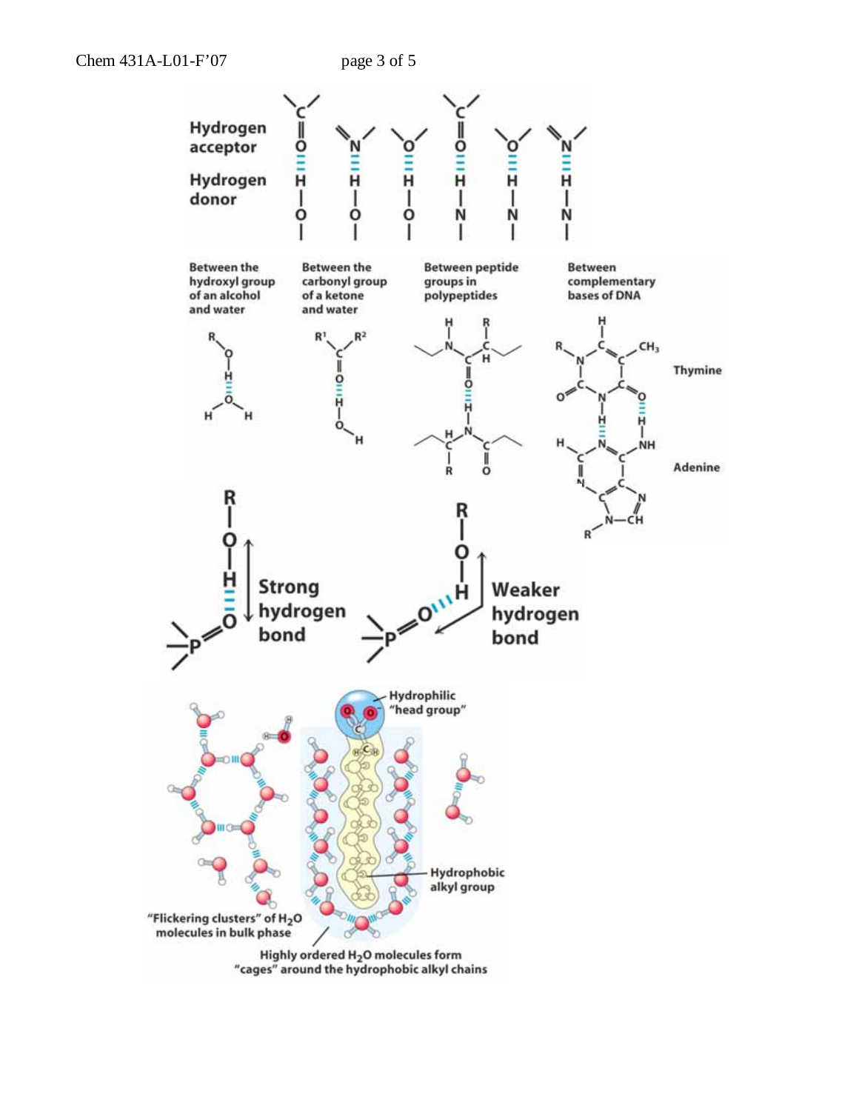

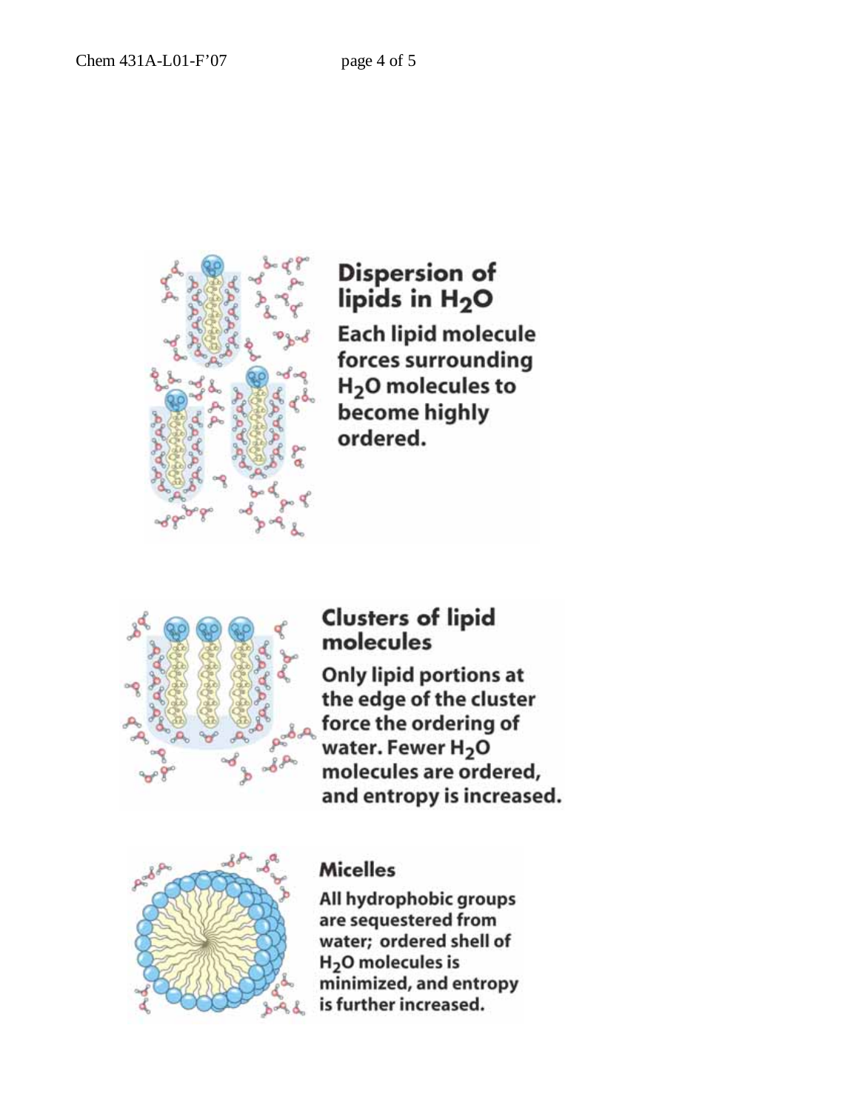

**Dispersion of** lipids in H<sub>2</sub>O **Each lipid molecule** forces surrounding H<sub>2</sub>O molecules to become highly ordered.



## **Clusters of lipid** molecules

Only lipid portions at the edge of the cluster force the ordering of water. Fewer H<sub>2</sub>O molecules are ordered, and entropy is increased.



## **Micelles**

All hydrophobic groups are sequestered from water; ordered shell of H<sub>2</sub>O molecules is minimized, and entropy is further increased.